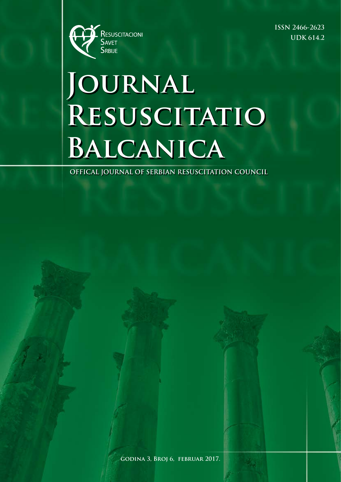

**ISSN 2466-2623 UDK 614.2**

# **Journal Resuscitatio Balcanica**

**OFFICAL JOURNAL OF SERBIAN RESUSCITATION COUNCIL**

**godina 3, Broj 6, februar 2017.**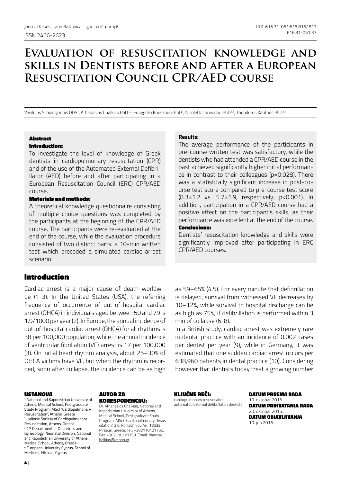## **Evaluation of resuscitation knowledge and skills in Dentists before and after a European Resuscitation Council CPR/AED course**

Vasileios Schizogiannis DDS1, Athanasios Chalkias PhD1-2, Euaggelia Kouskouni PhD1, Nicoletta Iacovidou PhD2-3, Theodoros Xanthos PhD2-4

#### Abstract Introduction:

To investigate the level of knowledge of Greek dentists in cardiopulmonary resuscitation (CPR) and of the use of the Automated External Defibrillator (AED) before and after participating in a European Resuscitation Council (ERC) CPR/AED course.

#### Materials and methods:

A theoretical knowledge questionnaire consisting of multiple choice questions was completed by the participants at the beginning of the CPR/AED course. The participants were re-evaluated at the end of the course, while the evaluation procedure consisted of two distinct parts: a 10-min written test which preceded a simulated cardiac arrest scenario.

## Introduction

Cardiac arrest is a major cause of death worldwide (1-3). In the United States (USA), the referring frequency of occurrence of out-of-hospital cardiac arrest (OHCA) in individuals aged between 50 and 79 is 1.9/1000 per year (2). In Europe, the annual incidence of out-of-hospital cardiac arrest (OHCA) for all rhythms is 38 per 100,000 population, while the annual incidence of ventricular fibrillation (VF) arrest is 17 per 100,000 (3). On initial heart rhythm analysis, about 25–30% of OHCA victims have VF, but when the rhythm is recorded, soon after collapse, the incidence can be as high

#### USTANOVA

1 National and Kapodistrian University of Athens, Medical School, Postgraduate Study Program (MSc) "Cardiopulmonary Resuscitation", Athens, Greece 2 Hellenic Society of Cardiopulmonary Resuscitation, Athens, Greece <sup>3</sup> 2<sup>nd</sup> Department of Obstetrics and Gynecology, Neonatal Division, National and Kapodistrian University of Athens, Medical School, Athens, Greece 4 European University Cyprus, School of Medicine, Nicosia, Cyprus

#### AUTOR ZA KORESPODENCIJU:

Dr. Athanasios Chalkias, National and Kapodistrian University of Athens, Medical School, Postgraduate Study Program (MSc) "Cardiopulmonary Resuscitation", 3 Ir. Politechniou Av., 18532, Piraeus, Greece. Tel.: +302110121756; Fax: +302110121758, Email: thanoschalkias@yahoo.gr

#### **Results:**

The average performance of the participants in pre-course written test was satisfactory, while the dentists who had attended a CPR/AED course in the past achieved significantly higher initial performance in contrast to their colleagues (p=0.028). There was a statistically significant increase in post-course test score compared to pre-course test score (8.3±1.2 vs. 5.7±1.9, respectively; p<0.001). In addition, participation in a CPR/AED course had a positive effect on the participant's skills, as their performance was excellent at the end of the course.

#### Conclusions:

Dentists' resuscitation knowledge and skills were significantly improved after participating in ERC CPR/AED courses.

as 59–65% (4,5). For every minute that defibrillation is delayed, survival from witnessed VF decreases by 10–12%, while survival to hospital discharge can be as high as 75%, if defibrillation is performed within 3 min of collapse (6-8).

In a British study, cardiac arrest was extremely rare in dental practice with an incidence of 0.002 cases per dentist per year (9), while in Germany, it was estimated that one sudden cardiac arrest occurs per 638,960 patients in dental practice (10). Considering however that dentists today treat a growing number

#### KLJUČNE REČI:

cardiopulmonary resuscitation; automated external defibrillator; dentists DATUM PRIJEMA RADA 10. oktobar 2015. DATIIM DDIHVATANJA DADA 20. oktobar 2015. DATUM OBJAVLJIVANJA 10. jun 2016.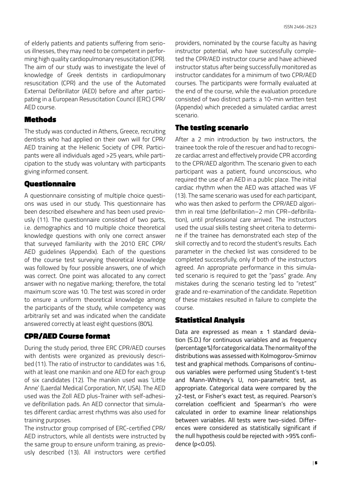of elderly patients and patients suffering from serious illnesses, they may need to be competent in performing high quality cardiopulmonary resuscitation (CPR). The aim of our study was to investigate the level of knowledge of Greek dentists in cardiopulmonary resuscitation (CPR) and the use of the Automated External Defibrillator (AED) before and after participating in a European Resuscitation Council (ERC) CPR/ AED course.

#### Methods

The study was conducted in Athens, Greece, recruiting dentists who had applied on their own will for CPR/ AED training at the Hellenic Society of CPR. Participants were all individuals aged >25 years, while participation to the study was voluntary with participants giving informed consent.

## Questionnaire

A questionnaire consisting of multiple choice questions was used in our study. This questionnaire has been described elsewhere and has been used previously (11). The questionnaire consisted of two parts, i.e. demographics and 10 multiple choice theoretical knowledge questions with only one correct answer that surveyed familiarity with the 2010 ERC CPR/ AED guidelines (Appendix). Each of the questions of the course test surveying theoretical knowledge was followed by four possible answers, one of which was correct. One point was allocated to any correct answer with no negative marking; therefore, the total maximum score was 10. The test was scored in order to ensure a uniform theoretical knowledge among the participants of the study, while competency was arbitrarily set and was indicated when the candidate answered correctly at least eight questions (80%).

## CPR/AED Course format

During the study period, three ERC CPR/AED courses with dentists were organized as previously described (11). The ratio of instructor to candidates was 1:6, with at least one manikin and one AED for each group of six candidates (12). The manikin used was 'Little Anne' (Laerdal Medical Corporation, NY, USA). The AED used was the Zoll AED plus-Trainer with self-adhesive defibrillation pads. An AED connector that simulates different cardiac arrest rhythms was also used for training purposes.

The instructor group comprised of ERC-certified CPR/ AED instructors, while all dentists were instructed by the same group to ensure uniform training, as previously described (13). All instructors were certified

providers, nominated by the course faculty as having instructor potential, who have successfully completed the CPR/AED instructor course and have achieved instructor status after being successfully monitored as instructor candidates for a minimum of two CPR/AED courses. The participants were formally evaluated at the end of the course, while the evaluation procedure consisted of two distinct parts: a 10-min written test (Appendix) which preceded a simulated cardiac arrest scenario.

## The testing scenario

After a 2 min introduction by two instructors, the trainee took the role of the rescuer and had to recognize cardiac arrest and effectively provide CPR according to the CPR/AED algorithm. The scenario given to each participant was a patient, found unconscious, who required the use of an AED in a public place. The initial cardiac rhythm when the AED was attached was VF (13). The same scenario was used for each participant, who was then asked to perform the CPR/AED algorithm in real time (defibrillation–2 min CPR–defibrillation), until professional care arrived. The instructors used the usual skills testing sheet criteria to determine if the trainee has demonstrated each step of the skill correctly and to record the student's results. Each parameter in the checked list was considered to be completed successfully, only if both of the instructors agreed. An appropriate performance in this simulated scenario is required to get the "pass" grade. Any mistakes during the scenario testing led to "retest" grade and re-examination of the candidate. Repetition of these mistakes resulted in failure to complete the course.

## Statistical Analysis

Data are expressed as mean  $\pm$  1 standard deviation (S.D.) for continuous variables and as frequency (percentage %) for categorical data. The normality of the distributions was assessed with Kolmogorov-Smirnov test and graphical methods. Comparisons of continuous variables were performed using Student's t-test and Mann-Whitney's U, non-parametric test, as appropriate. Categorical data were compared by the χ2-test, or Fisher's exact test, as required. Pearson's correlation coefficient and Spearman's rho were calculated in order to examine linear relationships between variables. All tests were two-sided. Differences were considered as statistically significant if the null hypothesis could be rejected with >95% confidence (p<0.05).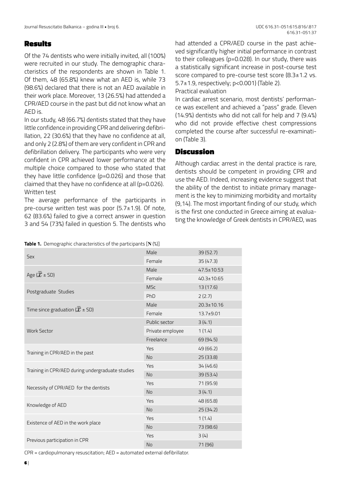#### Results

Of the 74 dentists who were initially invited, all (100%) were recruited in our study. The demographic characteristics of the respondents are shown in Table 1. Of them, 48 (65.8%) knew what an AED is, while 73 (98.6%) declared that there is not an AED available in their work place. Moreover, 13 (26.5%) had attended a CPR/AED course in the past but did not know what an AED is.

In our study, 48 (66.7%) dentists stated that they have little confidence in providing CPR and delivering defibrillation, 22 (30.6%) that they have no confidence at all, and only 2 (2.8%) of them are very confident in CPR and defibrillation delivery. The participants who were very confident in CPR achieved lower performance at the multiple choice compared to those who stated that they have little confidence (p=0.026) and those that claimed that they have no confidence at all (p=0.026). Written test

The average performance of the participants in pre-course written test was poor (5.7±1.9). Of note, 62 (83.6%) failed to give a correct answer in question 3 and 54 (73%) failed in question 5. The dentists who

**Table 1.** Demographic characteristics of the participants [**Ν** (%)]

had attended a CPR/AED course in the past achieved significantly higher initial performance in contrast to their colleagues (p=0.028). In our study, there was a statistically significant increase in post-course test score compared to pre-course test score (8.3±1.2 vs. 5.7±1.9, respectively; p<0.001) (Table 2).

Practical evaluation

In cardiac arrest scenario, most dentists' performance was excellent and achieved a "pass" grade. Eleven (14.9%) dentists who did not call for help and 7 (9.4%) who did not provide effective chest compressions completed the course after successful re-examination (Table 3).

## Discussion

Although cardiac arrest in the dental practice is rare, dentists should be competent in providing CPR and use the AED. Indeed, increasing evidence suggest that the ability of the dentist to initiate primary management is the key to minimizing morbidity and mortality (9,14). The most important finding of our study, which is the first one conducted in Greece aiming at evaluating the knowledge of Greek dentists in CPR/AED, was

|                                                  | Male             | 39 (52.7)        |
|--------------------------------------------------|------------------|------------------|
| Sex                                              | Female           | 35(47.3)         |
|                                                  | Male             | $47.5 \pm 10.53$ |
| Age ( $\bar{x}$ ± SD)                            | Female           | $40.3 \pm 10.65$ |
|                                                  | <b>MSc</b>       | 13 (17.6)        |
| Postgraduate Studies                             | PhD              | 2(2.7)           |
|                                                  | Male             | $20.3 \pm 10.16$ |
| Time since graduation ( $\overline{x}$ ± SD)     | Female           | $13.7 + 9.01$    |
| <b>Work Sector</b>                               | Public sector    | 3(4.1)           |
|                                                  | Private employee | 1(1.4)           |
|                                                  | Freelance        | 69 (94.5)        |
| Training in CPR/AED in the past                  | Yes              | 49 (66.2)        |
|                                                  | <b>No</b>        | 25 (33.8)        |
|                                                  | Yes              | 34 (46.6)        |
| Training in CPR/AED during undergraduate studies | <b>No</b>        | 39 (53.4)        |
|                                                  | Yes              | 71 (95.9)        |
| Necessity of CPR/AED for the dentists            | <b>No</b>        | 3(4.1)           |
|                                                  | Yes              | 48 (65.8)        |
| Knowledge of AED                                 | <b>No</b>        | 25(34.2)         |
|                                                  | Yes              | 1(1.4)           |
| Existence of AED in the work place               | <b>No</b>        | 73 (98.6)        |
|                                                  | Yes              | 3(4)             |
| Previous participation in CPR                    | <b>No</b>        | 71 (96)          |

CPR = cardiopulmonary resuscitation; AED = automated external defibrillator.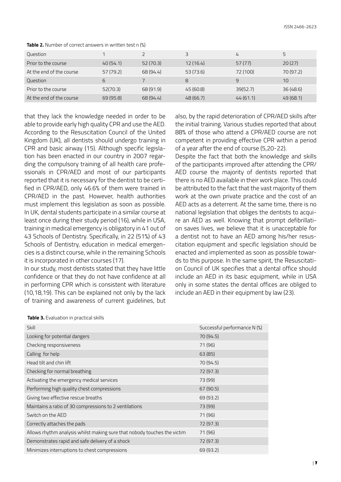| Question                 |           |           | ς         | 4        | 5         |
|--------------------------|-----------|-----------|-----------|----------|-----------|
| Prior to the course      | 40(54.1)  | 52(70.3)  | 12(16.4)  | 57(77)   | 20(27)    |
| At the end of the course | 57 (79.2) | 68 (94.4) | 53 (73.6) | 72 (100) | 70 (97.2) |
| Question                 | 6         |           | 8         | 9        | 10        |
| Prior to the course      | 52(70.3)  | 68 (91.9) | 45(60.8)  | 39(52.7) | 36(48.6)  |
| At the end of the course | 69 (95.8) | 68 (94.4) | 48(66.7)  | 44(61.1) | 49(68.1)  |

**Table 2.** Number of correct answers in written test n (%)

that they lack the knowledge needed in order to be able to provide early high quality CPR and use the AED. According to the Resuscitation Council of the United Kingdom (UK), all dentists should undergo training in CPR and basic airway (15). Although specific legislation has been enacted in our country in 2007 regarding the compulsory training of all health care professionals in CPR/AED and most of our participants reported that it is necessary for the dentist to be certified in CPR/AED, only 46.6% of them were trained in CPR/AED in the past. However, health authorities must implement this legislation as soon as possible. In UK, dental students participate in a similar course at least once during their study period (16), while in USA, training in medical emergency is obligatory in 41 out of 43 Schools of Dentistry. Specifically, in 22 (51%) of 43 Schools of Dentistry, education in medical emergencies is a distinct course, while in the remaining Schools it is incorporated in other courses (17).

In our study, most dentists stated that they have little confidence or that they do not have confidence at all in performing CPR which is consistent with literature (10,18,19). This can be explained not only by the lack of training and awareness of current guidelines, but

also, by the rapid deterioration of CPR/AED skills after the initial training. Various studies reported that about 88% of those who attend a CPR/AED course are not competent in providing effective CPR within a period of a year after the end of course (5,20-22).

Despite the fact that both the knowledge and skills of the participants improved after attending the CPR/ AED course the majority of dentists reported that there is no AED available in their work place. This could be attributed to the fact that the vast majority of them work at the own private practice and the cost of an AED acts as a deterrent. At the same time, there is no national legislation that obliges the dentists to acquire an AED as well. Knowing that prompt defibrillation saves lives, we believe that it is unacceptable for a dentist not to have an AED among his/her resuscitation equipment and specific legislation should be enacted and implemented as soon as possible towards to this purpose. In the same spirit, the Resuscitation Council of UK specifies that a dental office should include an AED in its basic equipment, while in USA only in some states the dental offices are obliged to include an AED in their equipment by law (23).

| Skill                                                                    | Successful performance N (%) |
|--------------------------------------------------------------------------|------------------------------|
| Looking for potential dangers                                            | 70 (94.5)                    |
| Checking responsiveness                                                  | 71 (96)                      |
| Calling for help                                                         | 63(85)                       |
| Head tilt and chin lift                                                  | 70 (94.5)                    |
| Checking for normal breathing                                            | 72 (97.3)                    |
| Activating the emergency medical services                                | 73 (99)                      |
| Performing high quality chest compressions                               | 67 (90.5)                    |
| Giving two effective rescue breaths                                      | 69 (93.2)                    |
| Maintains a ratio of 30 compressions to 2 ventilations                   | 73 (99)                      |
| Switch on the AED                                                        | 71 (96)                      |
| Correctly attaches the pads                                              | 72 (97.3)                    |
| Allows rhythm analysis whilst making sure that nobody touches the victim | 71 (96)                      |
| Demonstrates rapid and safe delivery of a shock                          | 72 (97.3)                    |
| Minimizes interruptions to chest compressions                            | 69 (93.2)                    |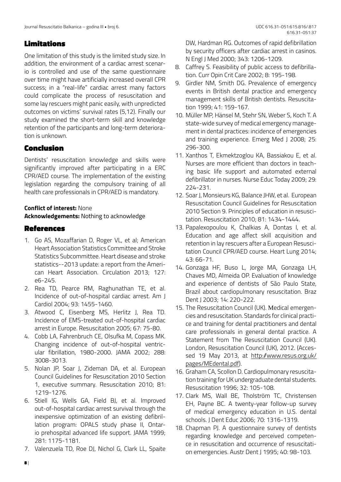## Limitations

One limitation of this study is the limited study size. In addition, the environment of a cardiac arrest scenario is controlled and use of the same questionnaire over time might have artificially increased overall CPR success; in a "real-life" cardiac arrest many factors could complicate the process of resuscitation and some lay rescuers might panic easily, with unpredicted outcomes on victims' survival rates (5,12). Finally our study examined the short-term skill and knowledge retention of the participants and long-term deterioration is unknown.

## Conclusion

Dentists' resuscitation knowledge and skills were significantly improved after participating in a ERC CPR/AED course. The implementation of the existing legislation regarding the compulsory training of all health care professionals in CPR/AED is mandatory.

#### **Conflict of interest:** None **Acknowledgements:** Nothing to acknowledge

## References

- 1. Go AS, Mozaffarian D, Roger VL, et al; American Heart Association Statistics Committee and Stroke Statistics Subcommittee. Heart disease and stroke statistics--2013 update: a report from the American Heart Association. Circulation 2013; 127: e6-245.
- 2. Rea TD, Pearce RM, Raghunathan TE, et al. Incidence of out-of-hospital cardiac arrest. Am J Cardiol 2004; 93: 1455-1460.
- 3. Atwood C, Eisenberg MS, Herlitz J, Rea TD. Incidence of EMS-treated out-of-hospital cardiac arrest in Europe. Resuscitation 2005; 67: 75-80.
- 4. Cobb LA, Fahrenbruch CE, Olsufka M, Copass MK. Changing incidence of out-of-hospital ventricular fibrillation, 1980-2000. JAMA 2002; 288: 3008-3013.
- 5. Nolan JP, Soar J, Zideman DA, et al. European Council Guidelines for Resuscitation 2010 Section 1, executive summary. Resuscitation 2010; 81: 1219-1276.
- 6. Stiell IG, Wells GA, Field BJ, et al. Improved out-of-hospital cardiac arrest survival through the inexpensive optimization of an existing defibrillation program: OPALS study phase II, Ontario prehospital advanced life support. JAMA 1999; 281: 1175-1181.
- 7. Valenzuela TD, Roe DJ, Nichol G, Clark LL, Spaite

DW, Hardman RG. Outcomes of rapid defibrillation by security officers after cardiac arrest in casinos. N Engl J Med 2000; 343: 1206-1209.

- 8. Caffrey S. Feasibility of public access to defibrillation. Curr Opin Crit Care 2002; 8: 195-198.
- 9. Girdler NM, Smith DG. Prevalence of emergency events in British dental practice and emergency management skills of British dentists. Resuscitation 1999; 41: 159-167.
- 10. Müller MP, Hänsel M, Stehr SN, Weber S, Koch T. A state-wide survey of medical emergency management in dental practices: incidence of emergencies and training experience. Emerg Med J 2008; 25: 296-300.
- 11. Xanthos T, Ekmektzoglou KA, Bassiakou E, et al. Nurses are more efficient than doctors in teaching basic life support and automated external defibrillator in nurses. Nurse Educ Today 2009; 29: 224-231.
- 12. Soar J, Monsieurs KG, Balance JHW, et al. European Resuscitation Council Guidelines for Resuscitation 2010 Section 9. Principles of education in resuscitation. Resuscitation 2010; 81: 1434-1444.
- 13. Papalexopoulou K, Chalkias A, Dontas I, et al. Education and age affect skill acquisition and retention in lay rescuers after a European Resuscitation Council CPR/AED course. Heart Lung 2014; 43: 66-71.
- 14. Gonzaga HF, Buso L, Jorge MA, Gonzaga LH, Chaves MD, Almeida OP. Evaluation of knowledge and experience of dentists of São Paulo State, Brazil about cardiopulmonary resuscitation. Braz Dent J 2003; 14: 220-222.
- 15. The Resuscitation Council (UK). Μedical emergencies and resuscitation. Standards for clinical practice and training for dental practitioners and dental care professionals in general dental practice. A Statement from The Resuscitation Council (UK). London, Resuscitation Council (UK), 2012. (Accessed 19 May 2013, at http://www.resus.org.uk/ pages/MEdental.pdf).
- 16. Graham CA, Scollon D. Cardiopulmonary resuscitation training for UK undergraduate dental students. Resuscitation 1996; 32: 105-108.
- 17. Clark MS, Wall BE, Tholström TC, Christensen EH, Payne BC. A twenty-year follow-up survey of medical emergency education in U.S. dental schools. J Dent Educ 2006; 70: 1316-1319.
- 18. Chapman PJ. A questionnaire survey of dentists regarding knowledge and perceived competence in resuscitation and occurrence of resuscitation emergencies. Austr Dent J 1995; 40: 98-103.